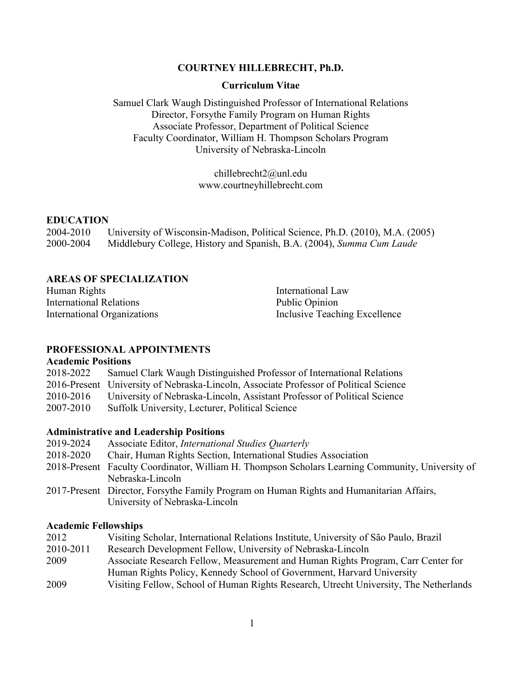## **COURTNEY HILLEBRECHT, Ph.D.**

#### **Curriculum Vitae**

Samuel Clark Waugh Distinguished Professor of International Relations Director, Forsythe Family Program on Human Rights Associate Professor, Department of Political Science Faculty Coordinator, William H. Thompson Scholars Program University of Nebraska-Lincoln

> chillebrecht2@unl.edu www.courtneyhillebrecht.com

#### **EDUCATION**

2004-2010 University of Wisconsin-Madison, Political Science, Ph.D. (2010), M.A. (2005) 2000-2004 Middlebury College, History and Spanish, B.A. (2004), *Summa Cum Laude*

#### **AREAS OF SPECIALIZATION**

Human Rights International Relations International Organizations International Law Public Opinion

Inclusive Teaching Excellence

#### **PROFESSIONAL APPOINTMENTS**

#### **Academic Positions**

2018-2022 Samuel Clark Waugh Distinguished Professor of International Relations 2016-Present University of Nebraska-Lincoln, Associate Professor of Political Science 2010-2016 University of Nebraska-Lincoln, Assistant Professor of Political Science

2007-2010 Suffolk University, Lecturer, Political Science

#### **Administrative and Leadership Positions**

- 2019-2024 Associate Editor, *International Studies Quarterly* 2018-2020 Chair, Human Rights Section, International Studies Association
- 
- 2018-Present Faculty Coordinator, William H. Thompson Scholars Learning Community, University of Nebraska-Lincoln
- 2017-Present Director, Forsythe Family Program on Human Rights and Humanitarian Affairs, University of Nebraska-Lincoln

#### **Academic Fellowships**

| 2012      | Visiting Scholar, International Relations Institute, University of São Paulo, Brazil  |
|-----------|---------------------------------------------------------------------------------------|
| 2010-2011 | Research Development Fellow, University of Nebraska-Lincoln                           |
| 2009      | Associate Research Fellow, Measurement and Human Rights Program, Carr Center for      |
|           | Human Rights Policy, Kennedy School of Government, Harvard University                 |
| 2009      | Visiting Fellow, School of Human Rights Research, Utrecht University, The Netherlands |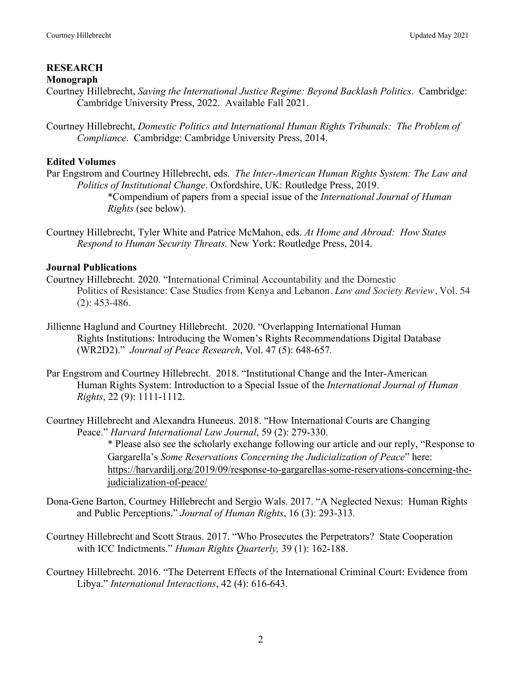# **RESEARCH**

#### **Monograph**

- Courtney Hillebrecht, *Saving the International Justice Regime: Beyond Backlash Politics*. Cambridge: Cambridge University Press, 2022. Available Fall 2021.
- Courtney Hillebrecht, *Domestic Politics and International Human Rights Tribunals: The Problem of Compliance*. Cambridge: Cambridge University Press, 2014.

# **Edited Volumes**

- Par Engstrom and Courtney Hillebrecht, eds. *The Inter-American Human Rights System: The Law and Politics of Institutional Change*. Oxfordshire, UK: Routledge Press, 2019. \*Compendium of papers from a special issue of the *International Journal of Human Rights* (see below).
- Courtney Hillebrecht, Tyler White and Patrice McMahon, eds. *At Home and Abroad: How States Respond to Human Security Threats.* New York: Routledge Press, 2014.

# **Journal Publications**

- Courtney Hillebrecht. 2020. "International Criminal Accountability and the Domestic Politics of Resistance: Case Studies from Kenya and Lebanon. *Law and Society Review*, Vol. 54 (2): 453-486*.*
- Jillienne Haglund and Courtney Hillebrecht. 2020. "Overlapping International Human Rights Institutions: Introducing the Women's Rights Recommendations Digital Database (WR2D2)." *Journal of Peace Research*, Vol. 47 (5): 648-657*.*
- Par Engstrom and Courtney Hillebrecht. 2018. "Institutional Change and the Inter-American Human Rights System: Introduction to a Special Issue of the *International Journal of Human Rights*, 22 (9): 1111-1112.
- Courtney Hillebrecht and Alexandra Huneeus. 2018. "How International Courts are Changing Peace." *Harvard International Law Journal*, 59 (2): 279-330.

\* Please also see the scholarly exchange following our article and our reply, "Response to Gargarella's *Some Reservations Concerning the Judicialization of Peace*" here: https://harvardilj.org/2019/09/response-to-gargarellas-some-reservations-concerning-thejudicialization-of-peace/

- Dona-Gene Barton, Courtney Hillebrecht and Sergio Wals. 2017. "A Neglected Nexus: Human Rights and Public Perceptions." *Journal of Human Rights*, 16 (3): 293-313*.*
- Courtney Hillebrecht and Scott Straus. 2017. "Who Prosecutes the Perpetrators? State Cooperation with ICC Indictments." *Human Rights Quarterly,* 39 (1): 162-188.
- Courtney Hillebrecht. 2016. "The Deterrent Effects of the International Criminal Court: Evidence from Libya." *International Interactions*, 42 (4): 616-643.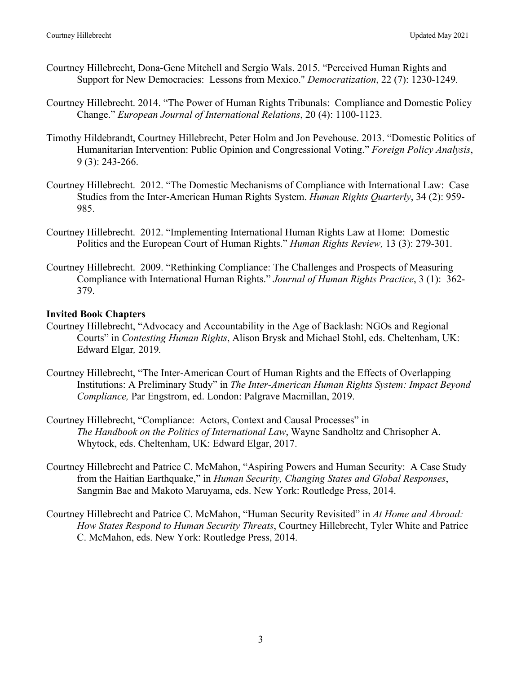- Courtney Hillebrecht, Dona-Gene Mitchell and Sergio Wals. 2015. "Perceived Human Rights and Support for New Democracies: Lessons from Mexico." *Democratization*, 22 (7): 1230-1249*.*
- Courtney Hillebrecht. 2014. "The Power of Human Rights Tribunals: Compliance and Domestic Policy Change." *European Journal of International Relations*, 20 (4): 1100-1123.
- Timothy Hildebrandt, Courtney Hillebrecht, Peter Holm and Jon Pevehouse. 2013. "Domestic Politics of Humanitarian Intervention: Public Opinion and Congressional Voting." *Foreign Policy Analysis*, 9 (3): 243-266.
- Courtney Hillebrecht. 2012. "The Domestic Mechanisms of Compliance with International Law: Case Studies from the Inter-American Human Rights System. *Human Rights Quarterly*, 34 (2): 959- 985.
- Courtney Hillebrecht. 2012. "Implementing International Human Rights Law at Home: Domestic Politics and the European Court of Human Rights." *Human Rights Review,* 13 (3): 279-301.
- Courtney Hillebrecht. 2009. "Rethinking Compliance: The Challenges and Prospects of Measuring Compliance with International Human Rights." *Journal of Human Rights Practice*, 3 (1): 362- 379.

# **Invited Book Chapters**

- Courtney Hillebrecht, "Advocacy and Accountability in the Age of Backlash: NGOs and Regional Courts" in *Contesting Human Rights*, Alison Brysk and Michael Stohl, eds. Cheltenham, UK: Edward Elgar*,* 2019*.*
- Courtney Hillebrecht, "The Inter-American Court of Human Rights and the Effects of Overlapping Institutions: A Preliminary Study" in *The Inter-American Human Rights System: Impact Beyond Compliance,* Par Engstrom, ed. London: Palgrave Macmillan, 2019.
- Courtney Hillebrecht, "Compliance: Actors, Context and Causal Processes" in *The Handbook on the Politics of International Law*, Wayne Sandholtz and Chrisopher A. Whytock, eds. Cheltenham, UK: Edward Elgar, 2017.
- Courtney Hillebrecht and Patrice C. McMahon, "Aspiring Powers and Human Security: A Case Study from the Haitian Earthquake," in *Human Security, Changing States and Global Responses*, Sangmin Bae and Makoto Maruyama, eds. New York: Routledge Press, 2014.
- Courtney Hillebrecht and Patrice C. McMahon, "Human Security Revisited" in *At Home and Abroad: How States Respond to Human Security Threats*, Courtney Hillebrecht, Tyler White and Patrice C. McMahon, eds. New York: Routledge Press, 2014.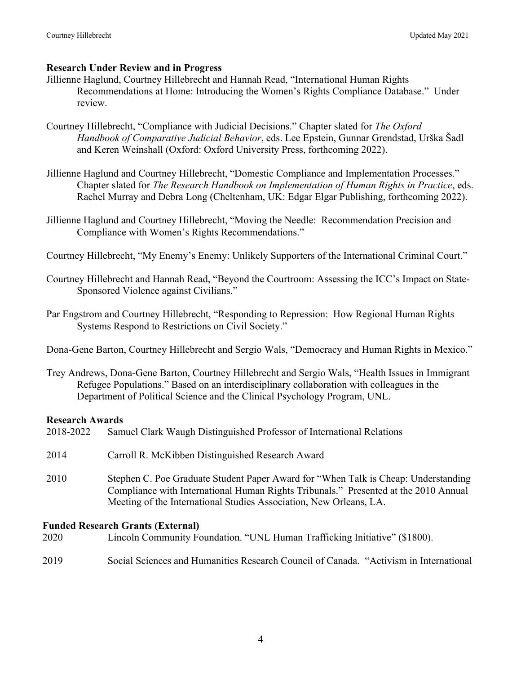# **Research Under Review and in Progress**

- Jillienne Haglund, Courtney Hillebrecht and Hannah Read, "International Human Rights Recommendations at Home: Introducing the Women's Rights Compliance Database." Under review.
- Courtney Hillebrecht, "Compliance with Judicial Decisions." Chapter slated for *The Oxford Handbook of Comparative Judicial Behavior*, eds. Lee Epstein, Gunnar Grendstad, Urška Šadl and Keren Weinshall (Oxford: Oxford University Press, forthcoming 2022).
- Jillienne Haglund and Courtney Hillebrecht, "Domestic Compliance and Implementation Processes." Chapter slated for *The Research Handbook on Implementation of Human Rights in Practice*, eds. Rachel Murray and Debra Long (Cheltenham, UK: Edgar Elgar Publishing, forthcoming 2022).
- Jillienne Haglund and Courtney Hillebrecht, "Moving the Needle: Recommendation Precision and Compliance with Women's Rights Recommendations."
- Courtney Hillebrecht, "My Enemy's Enemy: Unlikely Supporters of the International Criminal Court."
- Courtney Hillebrecht and Hannah Read, "Beyond the Courtroom: Assessing the ICC's Impact on State-Sponsored Violence against Civilians."
- Par Engstrom and Courtney Hillebrecht, "Responding to Repression: How Regional Human Rights Systems Respond to Restrictions on Civil Society."

Dona-Gene Barton, Courtney Hillebrecht and Sergio Wals, "Democracy and Human Rights in Mexico."

Trey Andrews, Dona-Gene Barton, Courtney Hillebrecht and Sergio Wals, "Health Issues in Immigrant Refugee Populations." Based on an interdisciplinary collaboration with colleagues in the Department of Political Science and the Clinical Psychology Program, UNL.

# **Research Awards**

| 2018-2022 Samuel Clark Waugh Distinguished Professor of International Relations |  |
|---------------------------------------------------------------------------------|--|
|---------------------------------------------------------------------------------|--|

2014 Carroll R. McKibben Distinguished Research Award 2010 Stephen C. Poe Graduate Student Paper Award for "When Talk is Cheap: Understanding Compliance with International Human Rights Tribunals." Presented at the 2010 Annual Meeting of the International Studies Association, New Orleans, LA.

# **Funded Research Grants (External)**

- 2020 Lincoln Community Foundation. "UNL Human Trafficking Initiative" (\$1800).
- 2019 Social Sciences and Humanities Research Council of Canada. "Activism in International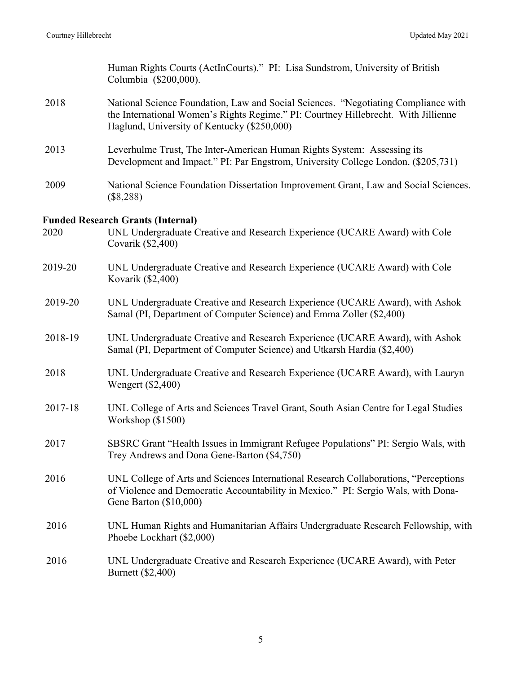|         | Human Rights Courts (ActInCourts)." PI: Lisa Sundstrom, University of British<br>Columbia (\$200,000).                                                                                                                  |
|---------|-------------------------------------------------------------------------------------------------------------------------------------------------------------------------------------------------------------------------|
| 2018    | National Science Foundation, Law and Social Sciences. "Negotiating Compliance with<br>the International Women's Rights Regime." PI: Courtney Hillebrecht. With Jillienne<br>Haglund, University of Kentucky (\$250,000) |
| 2013    | Leverhulme Trust, The Inter-American Human Rights System: Assessing its<br>Development and Impact." PI: Par Engstrom, University College London. (\$205,731)                                                            |
| 2009    | National Science Foundation Dissertation Improvement Grant, Law and Social Sciences.<br>$(\$8,288)$                                                                                                                     |
|         | <b>Funded Research Grants (Internal)</b>                                                                                                                                                                                |
| 2020    | UNL Undergraduate Creative and Research Experience (UCARE Award) with Cole<br>Covarik (\$2,400)                                                                                                                         |
| 2019-20 | UNL Undergraduate Creative and Research Experience (UCARE Award) with Cole<br>Kovarik (\$2,400)                                                                                                                         |
| 2019-20 | UNL Undergraduate Creative and Research Experience (UCARE Award), with Ashok<br>Samal (PI, Department of Computer Science) and Emma Zoller (\$2,400)                                                                    |
| 2018-19 | UNL Undergraduate Creative and Research Experience (UCARE Award), with Ashok<br>Samal (PI, Department of Computer Science) and Utkarsh Hardia (\$2,400)                                                                 |
| 2018    | UNL Undergraduate Creative and Research Experience (UCARE Award), with Lauryn<br>Wengert (\$2,400)                                                                                                                      |
| 2017-18 | UNL College of Arts and Sciences Travel Grant, South Asian Centre for Legal Studies<br>Workshop (\$1500)                                                                                                                |
| 2017    | SBSRC Grant "Health Issues in Immigrant Refugee Populations" PI: Sergio Wals, with<br>Trey Andrews and Dona Gene-Barton (\$4,750)                                                                                       |
| 2016    | UNL College of Arts and Sciences International Research Collaborations, "Perceptions<br>of Violence and Democratic Accountability in Mexico." PI: Sergio Wals, with Dona-<br>Gene Barton (\$10,000)                     |
| 2016    | UNL Human Rights and Humanitarian Affairs Undergraduate Research Fellowship, with<br>Phoebe Lockhart (\$2,000)                                                                                                          |
| 2016    | UNL Undergraduate Creative and Research Experience (UCARE Award), with Peter<br>Burnett (\$2,400)                                                                                                                       |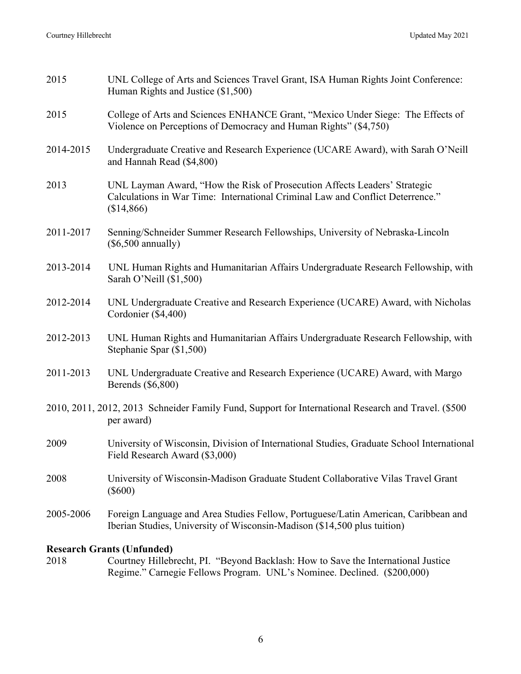| 2015                                                                                                              | UNL College of Arts and Sciences Travel Grant, ISA Human Rights Joint Conference:<br>Human Rights and Justice (\$1,500)                                                   |
|-------------------------------------------------------------------------------------------------------------------|---------------------------------------------------------------------------------------------------------------------------------------------------------------------------|
| 2015                                                                                                              | College of Arts and Sciences ENHANCE Grant, "Mexico Under Siege: The Effects of<br>Violence on Perceptions of Democracy and Human Rights" (\$4,750)                       |
| 2014-2015                                                                                                         | Undergraduate Creative and Research Experience (UCARE Award), with Sarah O'Neill<br>and Hannah Read (\$4,800)                                                             |
| 2013                                                                                                              | UNL Layman Award, "How the Risk of Prosecution Affects Leaders' Strategic<br>Calculations in War Time: International Criminal Law and Conflict Deterrence."<br>(\$14,866) |
| 2011-2017                                                                                                         | Senning/Schneider Summer Research Fellowships, University of Nebraska-Lincoln<br>$(\$6,500$ annually)                                                                     |
| 2013-2014                                                                                                         | UNL Human Rights and Humanitarian Affairs Undergraduate Research Fellowship, with<br>Sarah O'Neill (\$1,500)                                                              |
| 2012-2014                                                                                                         | UNL Undergraduate Creative and Research Experience (UCARE) Award, with Nicholas<br>Cordonier (\$4,400)                                                                    |
| 2012-2013                                                                                                         | UNL Human Rights and Humanitarian Affairs Undergraduate Research Fellowship, with<br>Stephanie Spar (\$1,500)                                                             |
| 2011-2013                                                                                                         | UNL Undergraduate Creative and Research Experience (UCARE) Award, with Margo<br>Berends (\$6,800)                                                                         |
| 2010, 2011, 2012, 2013 Schneider Family Fund, Support for International Research and Travel. (\$500<br>per award) |                                                                                                                                                                           |
| 2009                                                                                                              | University of Wisconsin, Division of International Studies, Graduate School International<br>Field Research Award (\$3,000)                                               |
| 2008                                                                                                              | University of Wisconsin-Madison Graduate Student Collaborative Vilas Travel Grant<br>$(\$600)$                                                                            |
| 2005-2006                                                                                                         | Foreign Language and Area Studies Fellow, Portuguese/Latin American, Caribbean and<br>Iberian Studies, University of Wisconsin-Madison (\$14,500 plus tuition)            |
| <b>Research Grants (Unfunded)</b>                                                                                 |                                                                                                                                                                           |

2018 Courtney Hillebrecht, PI. "Beyond Backlash: How to Save the International Justice Regime." Carnegie Fellows Program. UNL's Nominee. Declined. (\$200,000)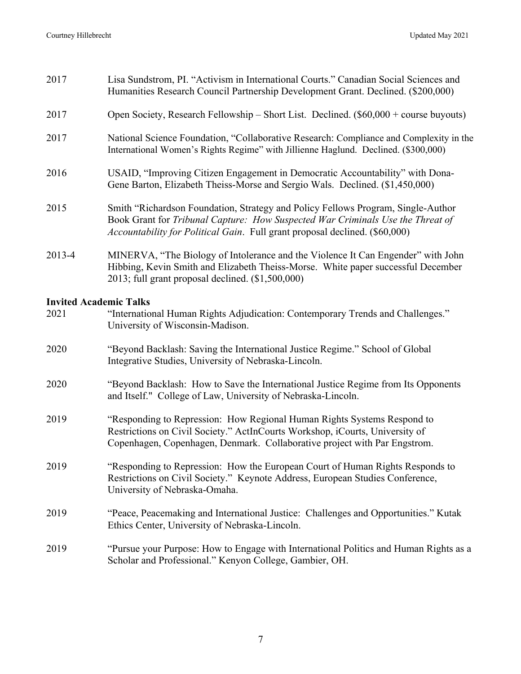| 2017                          | Lisa Sundstrom, PI. "Activism in International Courts." Canadian Social Sciences and<br>Humanities Research Council Partnership Development Grant. Declined. (\$200,000)                                                                          |
|-------------------------------|---------------------------------------------------------------------------------------------------------------------------------------------------------------------------------------------------------------------------------------------------|
| 2017                          | Open Society, Research Fellowship – Short List. Declined. $(\$60,000 + \text{course}$ buyouts)                                                                                                                                                    |
| 2017                          | National Science Foundation, "Collaborative Research: Compliance and Complexity in the<br>International Women's Rights Regime" with Jillienne Haglund. Declined. (\$300,000)                                                                      |
| 2016                          | USAID, "Improving Citizen Engagement in Democratic Accountability" with Dona-<br>Gene Barton, Elizabeth Theiss-Morse and Sergio Wals. Declined. (\$1,450,000)                                                                                     |
| 2015                          | Smith "Richardson Foundation, Strategy and Policy Fellows Program, Single-Author<br>Book Grant for Tribunal Capture: How Suspected War Criminals Use the Threat of<br>Accountability for Political Gain. Full grant proposal declined. (\$60,000) |
| 2013-4                        | MINERVA, "The Biology of Intolerance and the Violence It Can Engender" with John<br>Hibbing, Kevin Smith and Elizabeth Theiss-Morse. White paper successful December<br>$2013$ ; full grant proposal declined. $(\$1,500,000)$                    |
| <b>Invited Academic Talks</b> |                                                                                                                                                                                                                                                   |
| 2021                          | "International Human Rights Adjudication: Contemporary Trends and Challenges."<br>University of Wisconsin-Madison.                                                                                                                                |
| 2020                          | "Beyond Backlash: Saving the International Justice Regime." School of Global<br>Integrative Studies, University of Nebraska-Lincoln.                                                                                                              |
| 2020                          | "Beyond Backlash: How to Save the International Justice Regime from Its Opponents<br>and Itself." College of Law, University of Nebraska-Lincoln.                                                                                                 |
| 2019                          | "Responding to Repression: How Regional Human Rights Systems Respond to<br>Restrictions on Civil Society." ActInCourts Workshop, iCourts, University of<br>Copenhagen, Copenhagen, Denmark. Collaborative project with Par Engstrom.              |
| 2019                          | "Responding to Repression: How the European Court of Human Rights Responds to                                                                                                                                                                     |

- Restrictions on Civil Society." Keynote Address, European Studies Conference, University of Nebraska-Omaha.
- 2019 "Peace, Peacemaking and International Justice: Challenges and Opportunities." Kutak Ethics Center, University of Nebraska-Lincoln.
- 2019 "Pursue your Purpose: How to Engage with International Politics and Human Rights as a Scholar and Professional." Kenyon College, Gambier, OH.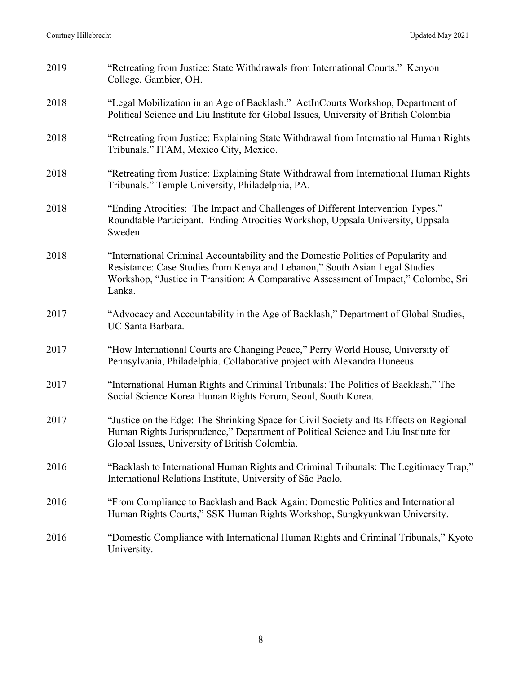| 2019 | "Retreating from Justice: State Withdrawals from International Courts." Kenyon<br>College, Gambier, OH.                                                                                                                                                            |
|------|--------------------------------------------------------------------------------------------------------------------------------------------------------------------------------------------------------------------------------------------------------------------|
| 2018 | "Legal Mobilization in an Age of Backlash." ActInCourts Workshop, Department of<br>Political Science and Liu Institute for Global Issues, University of British Colombia                                                                                           |
| 2018 | "Retreating from Justice: Explaining State Withdrawal from International Human Rights<br>Tribunals." ITAM, Mexico City, Mexico.                                                                                                                                    |
| 2018 | "Retreating from Justice: Explaining State Withdrawal from International Human Rights<br>Tribunals." Temple University, Philadelphia, PA.                                                                                                                          |
| 2018 | "Ending Atrocities: The Impact and Challenges of Different Intervention Types,"<br>Roundtable Participant. Ending Atrocities Workshop, Uppsala University, Uppsala<br>Sweden.                                                                                      |
| 2018 | "International Criminal Accountability and the Domestic Politics of Popularity and<br>Resistance: Case Studies from Kenya and Lebanon," South Asian Legal Studies<br>Workshop, "Justice in Transition: A Comparative Assessment of Impact," Colombo, Sri<br>Lanka. |
| 2017 | "Advocacy and Accountability in the Age of Backlash," Department of Global Studies,<br>UC Santa Barbara.                                                                                                                                                           |
| 2017 | "How International Courts are Changing Peace," Perry World House, University of<br>Pennsylvania, Philadelphia. Collaborative project with Alexandra Huneeus.                                                                                                       |
| 2017 | "International Human Rights and Criminal Tribunals: The Politics of Backlash," The<br>Social Science Korea Human Rights Forum, Seoul, South Korea.                                                                                                                 |
| 2017 | "Justice on the Edge: The Shrinking Space for Civil Society and Its Effects on Regional<br>Human Rights Jurisprudence," Department of Political Science and Liu Institute for<br>Global Issues, University of British Colombia.                                    |
| 2016 | "Backlash to International Human Rights and Criminal Tribunals: The Legitimacy Trap,"<br>International Relations Institute, University of São Paolo.                                                                                                               |
| 2016 | "From Compliance to Backlash and Back Again: Domestic Politics and International<br>Human Rights Courts," SSK Human Rights Workshop, Sungkyunkwan University.                                                                                                      |
| 2016 | "Domestic Compliance with International Human Rights and Criminal Tribunals," Kyoto<br>University.                                                                                                                                                                 |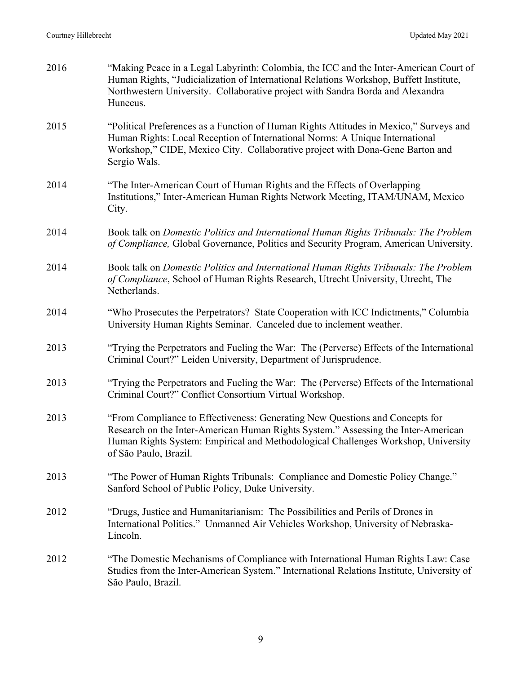| 2016 | "Making Peace in a Legal Labyrinth: Colombia, the ICC and the Inter-American Court of<br>Human Rights, "Judicialization of International Relations Workshop, Buffett Institute,<br>Northwestern University. Collaborative project with Sandra Borda and Alexandra<br>Huneeus.   |
|------|---------------------------------------------------------------------------------------------------------------------------------------------------------------------------------------------------------------------------------------------------------------------------------|
| 2015 | "Political Preferences as a Function of Human Rights Attitudes in Mexico," Surveys and<br>Human Rights: Local Reception of International Norms: A Unique International<br>Workshop," CIDE, Mexico City. Collaborative project with Dona-Gene Barton and<br>Sergio Wals.         |
| 2014 | "The Inter-American Court of Human Rights and the Effects of Overlapping<br>Institutions," Inter-American Human Rights Network Meeting, ITAM/UNAM, Mexico<br>City.                                                                                                              |
| 2014 | Book talk on Domestic Politics and International Human Rights Tribunals: The Problem<br>of Compliance, Global Governance, Politics and Security Program, American University.                                                                                                   |
| 2014 | Book talk on Domestic Politics and International Human Rights Tribunals: The Problem<br>of Compliance, School of Human Rights Research, Utrecht University, Utrecht, The<br>Netherlands.                                                                                        |
| 2014 | "Who Prosecutes the Perpetrators? State Cooperation with ICC Indictments," Columbia<br>University Human Rights Seminar. Canceled due to inclement weather.                                                                                                                      |
| 2013 | "Trying the Perpetrators and Fueling the War: The (Perverse) Effects of the International<br>Criminal Court?" Leiden University, Department of Jurisprudence.                                                                                                                   |
| 2013 | "Trying the Perpetrators and Fueling the War: The (Perverse) Effects of the International<br>Criminal Court?" Conflict Consortium Virtual Workshop.                                                                                                                             |
| 2013 | "From Compliance to Effectiveness: Generating New Questions and Concepts for<br>Research on the Inter-American Human Rights System." Assessing the Inter-American<br>Human Rights System: Empirical and Methodological Challenges Workshop, University<br>of São Paulo, Brazil. |
| 2013 | "The Power of Human Rights Tribunals: Compliance and Domestic Policy Change."<br>Sanford School of Public Policy, Duke University.                                                                                                                                              |
| 2012 | "Drugs, Justice and Humanitarianism: The Possibilities and Perils of Drones in<br>International Politics." Unmanned Air Vehicles Workshop, University of Nebraska-<br>Lincoln.                                                                                                  |
| 2012 | "The Domestic Mechanisms of Compliance with International Human Rights Law: Case<br>Studies from the Inter-American System." International Relations Institute, University of<br>São Paulo, Brazil.                                                                             |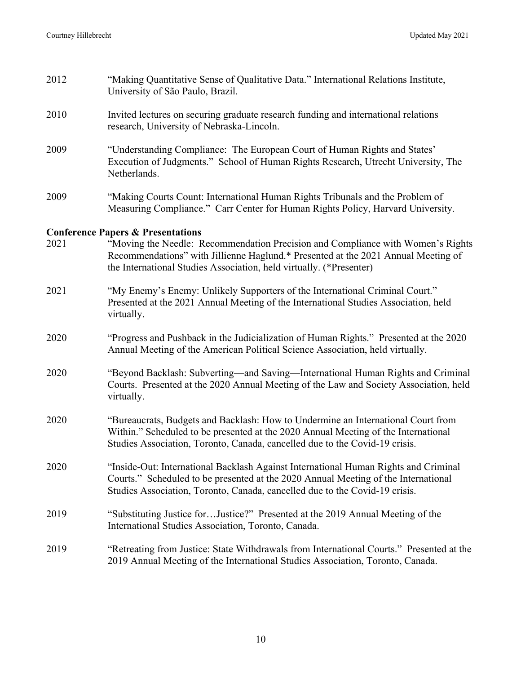| 2012 | "Making Quantitative Sense of Qualitative Data." International Relations Institute,<br>University of São Paulo, Brazil.                                                                                                                                                                     |
|------|---------------------------------------------------------------------------------------------------------------------------------------------------------------------------------------------------------------------------------------------------------------------------------------------|
| 2010 | Invited lectures on securing graduate research funding and international relations<br>research, University of Nebraska-Lincoln.                                                                                                                                                             |
| 2009 | "Understanding Compliance: The European Court of Human Rights and States'<br>Execution of Judgments." School of Human Rights Research, Utrecht University, The<br>Netherlands.                                                                                                              |
| 2009 | "Making Courts Count: International Human Rights Tribunals and the Problem of<br>Measuring Compliance." Carr Center for Human Rights Policy, Harvard University.                                                                                                                            |
| 2021 | <b>Conference Papers &amp; Presentations</b><br>"Moving the Needle: Recommendation Precision and Compliance with Women's Rights<br>Recommendations" with Jillienne Haglund.* Presented at the 2021 Annual Meeting of<br>the International Studies Association, held virtually. (*Presenter) |
| 2021 | "My Enemy's Enemy: Unlikely Supporters of the International Criminal Court."<br>Presented at the 2021 Annual Meeting of the International Studies Association, held<br>virtually.                                                                                                           |
| 2020 | "Progress and Pushback in the Judicialization of Human Rights." Presented at the 2020<br>Annual Meeting of the American Political Science Association, held virtually.                                                                                                                      |
| 2020 | "Beyond Backlash: Subverting-and Saving-International Human Rights and Criminal<br>Courts. Presented at the 2020 Annual Meeting of the Law and Society Association, held<br>virtually.                                                                                                      |
| 2020 | "Bureaucrats, Budgets and Backlash: How to Undermine an International Court from<br>Within." Scheduled to be presented at the 2020 Annual Meeting of the International<br>Studies Association, Toronto, Canada, cancelled due to the Covid-19 crisis.                                       |
| 2020 | "Inside-Out: International Backlash Against International Human Rights and Criminal<br>Courts." Scheduled to be presented at the 2020 Annual Meeting of the International<br>Studies Association, Toronto, Canada, cancelled due to the Covid-19 crisis.                                    |
| 2019 | "Substituting Justice forJustice?" Presented at the 2019 Annual Meeting of the<br>International Studies Association, Toronto, Canada.                                                                                                                                                       |
| 2019 | "Retreating from Justice: State Withdrawals from International Courts." Presented at the<br>2019 Annual Meeting of the International Studies Association, Toronto, Canada.                                                                                                                  |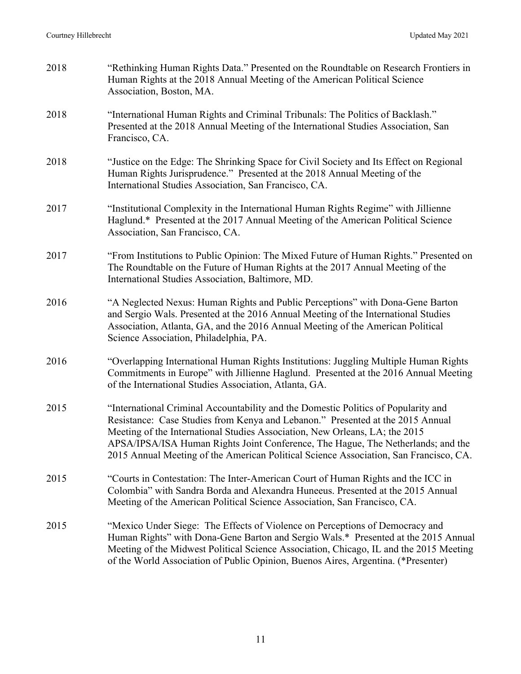| 2018 | "Rethinking Human Rights Data." Presented on the Roundtable on Research Frontiers in<br>Human Rights at the 2018 Annual Meeting of the American Political Science<br>Association, Boston, MA.                                                                                                                                                                                                                                    |
|------|----------------------------------------------------------------------------------------------------------------------------------------------------------------------------------------------------------------------------------------------------------------------------------------------------------------------------------------------------------------------------------------------------------------------------------|
| 2018 | "International Human Rights and Criminal Tribunals: The Politics of Backlash."<br>Presented at the 2018 Annual Meeting of the International Studies Association, San<br>Francisco, CA.                                                                                                                                                                                                                                           |
| 2018 | "Justice on the Edge: The Shrinking Space for Civil Society and Its Effect on Regional<br>Human Rights Jurisprudence." Presented at the 2018 Annual Meeting of the<br>International Studies Association, San Francisco, CA.                                                                                                                                                                                                      |
| 2017 | "Institutional Complexity in the International Human Rights Regime" with Jillienne<br>Haglund.* Presented at the 2017 Annual Meeting of the American Political Science<br>Association, San Francisco, CA.                                                                                                                                                                                                                        |
| 2017 | "From Institutions to Public Opinion: The Mixed Future of Human Rights." Presented on<br>The Roundtable on the Future of Human Rights at the 2017 Annual Meeting of the<br>International Studies Association, Baltimore, MD.                                                                                                                                                                                                     |
| 2016 | "A Neglected Nexus: Human Rights and Public Perceptions" with Dona-Gene Barton<br>and Sergio Wals. Presented at the 2016 Annual Meeting of the International Studies<br>Association, Atlanta, GA, and the 2016 Annual Meeting of the American Political<br>Science Association, Philadelphia, PA.                                                                                                                                |
| 2016 | "Overlapping International Human Rights Institutions: Juggling Multiple Human Rights<br>Commitments in Europe" with Jillienne Haglund. Presented at the 2016 Annual Meeting<br>of the International Studies Association, Atlanta, GA.                                                                                                                                                                                            |
| 2015 | "International Criminal Accountability and the Domestic Politics of Popularity and<br>Resistance: Case Studies from Kenya and Lebanon." Presented at the 2015 Annual<br>Meeting of the International Studies Association, New Orleans, LA; the 2015<br>APSA/IPSA/ISA Human Rights Joint Conference, The Hague, The Netherlands; and the<br>2015 Annual Meeting of the American Political Science Association, San Francisco, CA. |
| 2015 | "Courts in Contestation: The Inter-American Court of Human Rights and the ICC in<br>Colombia" with Sandra Borda and Alexandra Huneeus. Presented at the 2015 Annual<br>Meeting of the American Political Science Association, San Francisco, CA.                                                                                                                                                                                 |
| 2015 | "Mexico Under Siege: The Effects of Violence on Perceptions of Democracy and<br>Human Rights" with Dona-Gene Barton and Sergio Wals.* Presented at the 2015 Annual<br>Meeting of the Midwest Political Science Association, Chicago, IL and the 2015 Meeting<br>of the World Association of Public Opinion, Buenos Aires, Argentina. (*Presenter)                                                                                |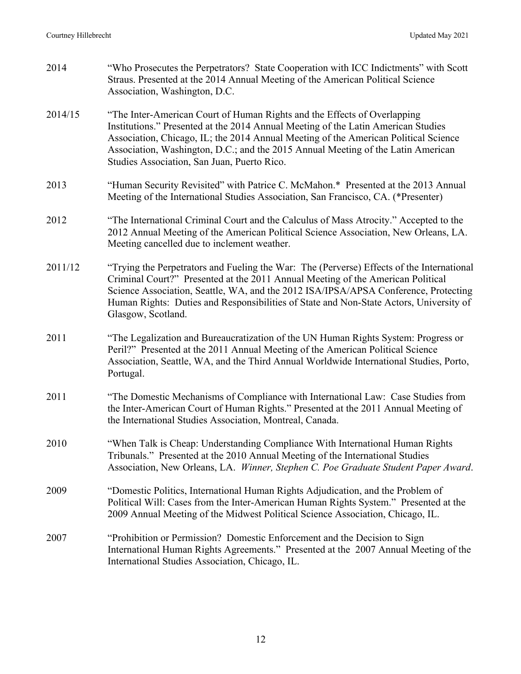| 2014    | "Who Prosecutes the Perpetrators? State Cooperation with ICC Indictments" with Scott<br>Straus. Presented at the 2014 Annual Meeting of the American Political Science<br>Association, Washington, D.C.                                                                                                                                                                                 |
|---------|-----------------------------------------------------------------------------------------------------------------------------------------------------------------------------------------------------------------------------------------------------------------------------------------------------------------------------------------------------------------------------------------|
| 2014/15 | "The Inter-American Court of Human Rights and the Effects of Overlapping<br>Institutions." Presented at the 2014 Annual Meeting of the Latin American Studies<br>Association, Chicago, IL; the 2014 Annual Meeting of the American Political Science<br>Association, Washington, D.C.; and the 2015 Annual Meeting of the Latin American<br>Studies Association, San Juan, Puerto Rico. |
| 2013    | "Human Security Revisited" with Patrice C. McMahon.* Presented at the 2013 Annual<br>Meeting of the International Studies Association, San Francisco, CA. (*Presenter)                                                                                                                                                                                                                  |
| 2012    | "The International Criminal Court and the Calculus of Mass Atrocity." Accepted to the<br>2012 Annual Meeting of the American Political Science Association, New Orleans, LA.<br>Meeting cancelled due to inclement weather.                                                                                                                                                             |
| 2011/12 | "Trying the Perpetrators and Fueling the War: The (Perverse) Effects of the International<br>Criminal Court?" Presented at the 2011 Annual Meeting of the American Political<br>Science Association, Seattle, WA, and the 2012 ISA/IPSA/APSA Conference, Protecting<br>Human Rights: Duties and Responsibilities of State and Non-State Actors, University of<br>Glasgow, Scotland.     |
| 2011    | "The Legalization and Bureaucratization of the UN Human Rights System: Progress or<br>Peril?" Presented at the 2011 Annual Meeting of the American Political Science<br>Association, Seattle, WA, and the Third Annual Worldwide International Studies, Porto,<br>Portugal.                                                                                                             |
| 2011    | "The Domestic Mechanisms of Compliance with International Law: Case Studies from<br>the Inter-American Court of Human Rights." Presented at the 2011 Annual Meeting of<br>the International Studies Association, Montreal, Canada.                                                                                                                                                      |
| 2010    | "When Talk is Cheap: Understanding Compliance With International Human Rights<br>Tribunals." Presented at the 2010 Annual Meeting of the International Studies<br>Association, New Orleans, LA. Winner, Stephen C. Poe Graduate Student Paper Award.                                                                                                                                    |
| 2009    | "Domestic Politics, International Human Rights Adjudication, and the Problem of<br>Political Will: Cases from the Inter-American Human Rights System." Presented at the<br>2009 Annual Meeting of the Midwest Political Science Association, Chicago, IL.                                                                                                                               |
| 2007    | "Prohibition or Permission? Domestic Enforcement and the Decision to Sign<br>International Human Rights Agreements." Presented at the 2007 Annual Meeting of the<br>International Studies Association, Chicago, IL.                                                                                                                                                                     |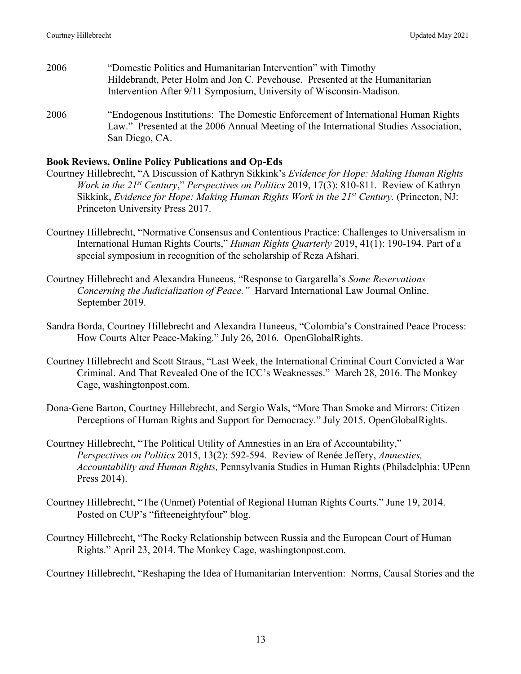- 2006 "Domestic Politics and Humanitarian Intervention" with Timothy Hildebrandt, Peter Holm and Jon C. Pevehouse. Presented at the Humanitarian Intervention After 9/11 Symposium, University of Wisconsin-Madison.
- 2006 "Endogenous Institutions: The Domestic Enforcement of International Human Rights Law." Presented at the 2006 Annual Meeting of the International Studies Association, San Diego, CA.

#### **Book Reviews, Online Policy Publications and Op-Eds**

- Courtney Hillebrecht, "A Discussion of Kathryn Sikkink's *Evidence for Hope: Making Human Rights Work in the 21st Century*," *Perspectives on Politics* 2019, 17(3): 810-811*.* Review of Kathryn Sikkink, *Evidence for Hope: Making Human Rights Work in the 21<sup>st</sup> Century.* (Princeton, NJ: Princeton University Press 2017.
- Courtney Hillebrecht, "Normative Consensus and Contentious Practice: Challenges to Universalism in International Human Rights Courts," *Human Rights Quarterly* 2019, 41(1): 190-194. Part of a special symposium in recognition of the scholarship of Reza Afshari.
- Courtney Hillebrecht and Alexandra Huneeus, "Response to Gargarella's *Some Reservations Concerning the Judicialization of Peace."* Harvard International Law Journal Online. September 2019.
- Sandra Borda, Courtney Hillebrecht and Alexandra Huneeus, "Colombia's Constrained Peace Process: How Courts Alter Peace-Making." July 26, 2016. OpenGlobalRights.
- Courtney Hillebrecht and Scott Straus, "Last Week, the International Criminal Court Convicted a War Criminal. And That Revealed One of the ICC's Weaknesses." March 28, 2016. The Monkey Cage, washingtonpost.com.
- Dona-Gene Barton, Courtney Hillebrecht, and Sergio Wals, "More Than Smoke and Mirrors: Citizen Perceptions of Human Rights and Support for Democracy." July 2015. OpenGlobalRights.
- Courtney Hillebrecht, "The Political Utility of Amnesties in an Era of Accountability," *Perspectives on Politics* 2015, 13(2): 592-594. Review of Renée Jeffery, *Amnesties, Accountability and Human Rights,* Pennsylvania Studies in Human Rights (Philadelphia: UPenn Press 2014).
- Courtney Hillebrecht, "The (Unmet) Potential of Regional Human Rights Courts." June 19, 2014. Posted on CUP's "fifteeneightyfour" blog.
- Courtney Hillebrecht, "The Rocky Relationship between Russia and the European Court of Human Rights." April 23, 2014. The Monkey Cage, washingtonpost.com.

Courtney Hillebrecht, "Reshaping the Idea of Humanitarian Intervention: Norms, Causal Stories and the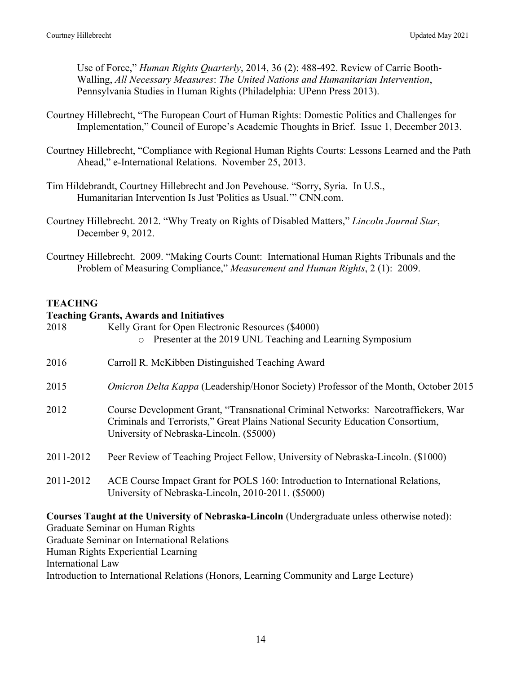Use of Force," *Human Rights Quarterly*, 2014, 36 (2): 488-492. Review of Carrie Booth-Walling, *All Necessary Measures*: *The United Nations and Humanitarian Intervention*, Pennsylvania Studies in Human Rights (Philadelphia: UPenn Press 2013).

- Courtney Hillebrecht, "The European Court of Human Rights: Domestic Politics and Challenges for Implementation," Council of Europe's Academic Thoughts in Brief. Issue 1, December 2013.
- Courtney Hillebrecht, "Compliance with Regional Human Rights Courts: Lessons Learned and the Path Ahead," e-International Relations. November 25, 2013.
- Tim Hildebrandt, Courtney Hillebrecht and Jon Pevehouse. "Sorry, Syria. In U.S., Humanitarian Intervention Is Just 'Politics as Usual.'" CNN.com.
- Courtney Hillebrecht. 2012. "Why Treaty on Rights of Disabled Matters," *Lincoln Journal Star*, December 9, 2012.
- Courtney Hillebrecht. 2009. "Making Courts Count: International Human Rights Tribunals and the Problem of Measuring Compliance," *Measurement and Human Rights*, 2 (1): 2009.

# **TEACHNG**

### **Teaching Grants, Awards and Initiatives**

| 2018      | Kelly Grant for Open Electronic Resources (\$4000)<br>o Presenter at the 2019 UNL Teaching and Learning Symposium                                                                                                |
|-----------|------------------------------------------------------------------------------------------------------------------------------------------------------------------------------------------------------------------|
| 2016      | Carroll R. McKibben Distinguished Teaching Award                                                                                                                                                                 |
| 2015      | <i>Omicron Delta Kappa</i> (Leadership/Honor Society) Professor of the Month, October 2015                                                                                                                       |
| 2012      | Course Development Grant, "Transnational Criminal Networks: Narcotraffickers, War<br>Criminals and Terrorists," Great Plains National Security Education Consortium,<br>University of Nebraska-Lincoln. (\$5000) |
| 2011-2012 | Peer Review of Teaching Project Fellow, University of Nebraska-Lincoln. (\$1000)                                                                                                                                 |
| 2011-2012 | ACE Course Impact Grant for POLS 160: Introduction to International Relations,<br>University of Nebraska-Lincoln, 2010-2011. (\$5000)                                                                            |
|           |                                                                                                                                                                                                                  |

**Courses Taught at the University of Nebraska-Lincoln** (Undergraduate unless otherwise noted): Graduate Seminar on Human Rights Graduate Seminar on International Relations Human Rights Experiential Learning International Law Introduction to International Relations (Honors, Learning Community and Large Lecture)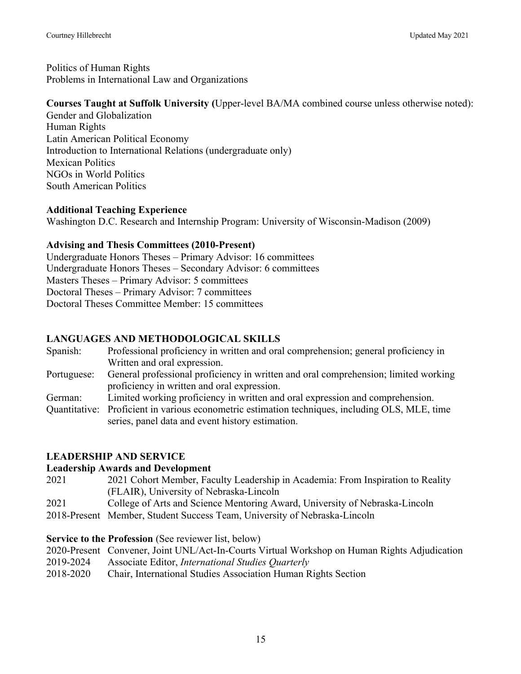Politics of Human Rights Problems in International Law and Organizations

# **Courses Taught at Suffolk University (**Upper-level BA/MA combined course unless otherwise noted):

Gender and Globalization Human Rights Latin American Political Economy Introduction to International Relations (undergraduate only) Mexican Politics NGOs in World Politics South American Politics

# **Additional Teaching Experience**

Washington D.C. Research and Internship Program: University of Wisconsin-Madison (2009)

# **Advising and Thesis Committees (2010-Present)**

Undergraduate Honors Theses – Primary Advisor: 16 committees Undergraduate Honors Theses – Secondary Advisor: 6 committees Masters Theses – Primary Advisor: 5 committees Doctoral Theses – Primary Advisor: 7 committees Doctoral Theses Committee Member: 15 committees

# **LANGUAGES AND METHODOLOGICAL SKILLS**

Spanish: Professional proficiency in written and oral comprehension; general proficiency in Written and oral expression. Portuguese: General professional proficiency in written and oral comprehension; limited working proficiency in written and oral expression. German: Limited working proficiency in written and oral expression and comprehension. Quantitative: Proficient in various econometric estimation techniques, including OLS, MLE, time

series, panel data and event history estimation.

# **LEADERSHIP AND SERVICE**

# **Leadership Awards and Development**

- 2021 2021 Cohort Member, Faculty Leadership in Academia: From Inspiration to Reality (FLAIR), University of Nebraska-Lincoln
- 2021 College of Arts and Science Mentoring Award, University of Nebraska-Lincoln
- 2018-Present Member, Student Success Team, University of Nebraska-Lincoln

# **Service to the Profession (See reviewer list, below)**

- 2020-Present Convener, Joint UNL/Act-In-Courts Virtual Workshop on Human Rights Adjudication 2019-2024 Associate Editor, *International Studies Quarterly*
- 2018-2020 Chair, International Studies Association Human Rights Section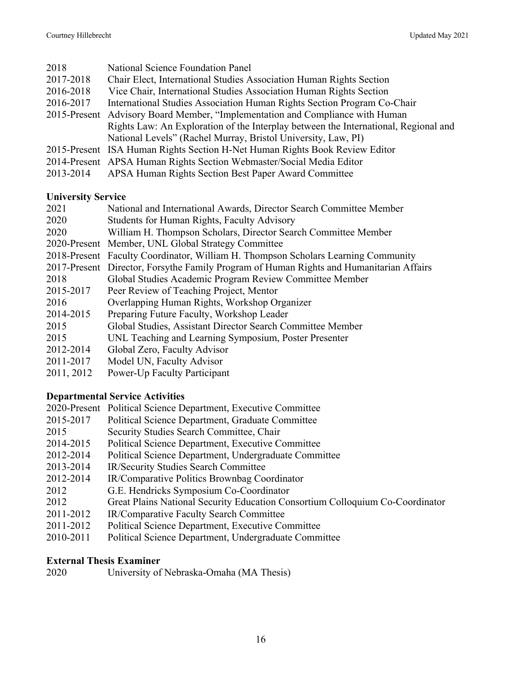| 2018      | <b>National Science Foundation Panel</b>                                            |
|-----------|-------------------------------------------------------------------------------------|
| 2017-2018 | Chair Elect, International Studies Association Human Rights Section                 |
| 2016-2018 | Vice Chair, International Studies Association Human Rights Section                  |
| 2016-2017 | International Studies Association Human Rights Section Program Co-Chair             |
|           | 2015-Present Advisory Board Member, "Implementation and Compliance with Human       |
|           | Rights Law: An Exploration of the Interplay between the International, Regional and |
|           | National Levels" (Rachel Murray, Bristol University, Law, PI)                       |
|           | 2015-Present ISA Human Rights Section H-Net Human Rights Book Review Editor         |
|           | 2014-Present APSA Human Rights Section Webmaster/Social Media Editor                |
| 2013-2014 | APSA Human Rights Section Best Paper Award Committee                                |

### **University Service**

| 2021       | National and International Awards, Director Search Committee Member                     |
|------------|-----------------------------------------------------------------------------------------|
| 2020       | <b>Students for Human Rights, Faculty Advisory</b>                                      |
| 2020       | William H. Thompson Scholars, Director Search Committee Member                          |
|            | 2020-Present Member, UNL Global Strategy Committee                                      |
|            | 2018-Present Faculty Coordinator, William H. Thompson Scholars Learning Community       |
|            | 2017-Present Director, Forsythe Family Program of Human Rights and Humanitarian Affairs |
| 2018       | Global Studies Academic Program Review Committee Member                                 |
| 2015-2017  | Peer Review of Teaching Project, Mentor                                                 |
| 2016       | Overlapping Human Rights, Workshop Organizer                                            |
| 2014-2015  | Preparing Future Faculty, Workshop Leader                                               |
| 2015       | Global Studies, Assistant Director Search Committee Member                              |
| 2015       | UNL Teaching and Learning Symposium, Poster Presenter                                   |
| 2012-2014  | Global Zero, Faculty Advisor                                                            |
| 2011-2017  | Model UN, Faculty Advisor                                                               |
| 2011, 2012 | Power-Up Faculty Participant                                                            |

# **Departmental Service Activities**

|           | 2020-Present Political Science Department, Executive Committee                |
|-----------|-------------------------------------------------------------------------------|
| 2015-2017 | Political Science Department, Graduate Committee                              |
| 2015      | Security Studies Search Committee, Chair                                      |
| 2014-2015 | Political Science Department, Executive Committee                             |
| 2012-2014 | Political Science Department, Undergraduate Committee                         |
| 2013-2014 | IR/Security Studies Search Committee                                          |
| 2012-2014 | IR/Comparative Politics Brownbag Coordinator                                  |
| 2012      | G.E. Hendricks Symposium Co-Coordinator                                       |
| 2012      | Great Plains National Security Education Consortium Colloquium Co-Coordinator |
| 2011-2012 | IR/Comparative Faculty Search Committee                                       |
| 2011-2012 | Political Science Department, Executive Committee                             |

2010-2011 Political Science Department, Undergraduate Committee

# **External Thesis Examiner**<br>2020 University of

University of Nebraska-Omaha (MA Thesis)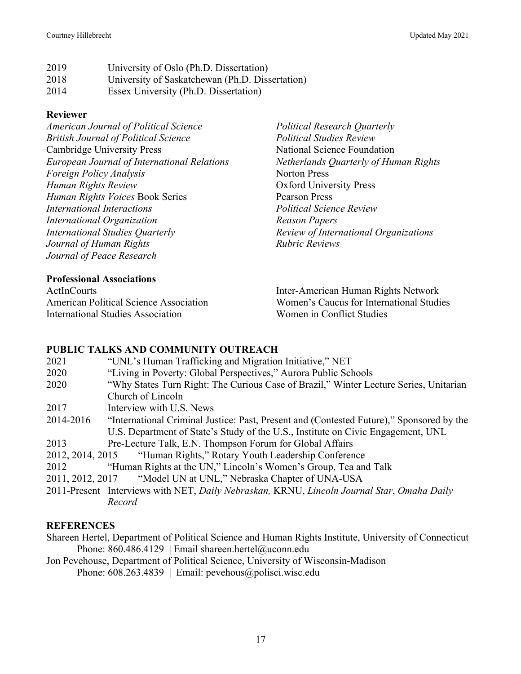| 2019 | University of Oslo (Ph.D. Dissertation)         |
|------|-------------------------------------------------|
| 2018 | University of Saskatchewan (Ph.D. Dissertation) |
| 2014 | Essex University (Ph.D. Dissertation)           |

## **Reviewer**

*American Journal of Political Science British Journal of Political Science* Cambridge University Press *European Journal of International Relations Foreign Policy Analysis Human Rights Review Human Rights Voices* Book Series *International Interactions International Organization International Studies Quarterly Journal of Human Rights Journal of Peace Research*

### **Professional Associations**

ActInCourts American Political Science Association International Studies Association

*Political Research Quarterly Political Studies Review* National Science Foundation *Netherlands Quarterly of Human Rights* Norton Press Oxford University Press Pearson Press *Political Science Review Reason Papers Review of International Organizations Rubric Reviews*

Inter-American Human Rights Network Women's Caucus for International Studies Women in Conflict Studies

# **PUBLIC TALKS AND COMMUNITY OUTREACH**

| 2021             | "UNL's Human Trafficking and Migration Initiative," NET                                    |
|------------------|--------------------------------------------------------------------------------------------|
| 2020             | "Living in Poverty: Global Perspectives," Aurora Public Schools                            |
| 2020             | "Why States Turn Right: The Curious Case of Brazil," Winter Lecture Series, Unitarian      |
|                  | Church of Lincoln                                                                          |
| 2017             | Interview with U.S. News                                                                   |
| 2014-2016        | "International Criminal Justice: Past, Present and (Contested Future)," Sponsored by the   |
|                  | U.S. Department of State's Study of the U.S., Institute on Civic Engagement, UNL           |
| 2013             | Pre-Lecture Talk, E.N. Thompson Forum for Global Affairs                                   |
|                  | 2012, 2014, 2015 "Human Rights," Rotary Youth Leadership Conference                        |
| 2012             | "Human Rights at the UN," Lincoln's Women's Group, Tea and Talk                            |
| 2011, 2012, 2017 | "Model UN at UNL," Nebraska Chapter of UNA-USA                                             |
|                  | 2011-Present Interviews with NET, Daily Nebraskan, KRNU, Lincoln Journal Star, Omaha Daily |
|                  | Record                                                                                     |
|                  |                                                                                            |

# **REFERENCES**

Shareen Hertel, Department of Political Science and Human Rights Institute, University of Connecticut Phone: 860.486.4129 | Email shareen.hertel@uconn.edu

Jon Pevehouse, Department of Political Science, University of Wisconsin-Madison Phone: 608.263.4839 | Email: pevehous@polisci.wisc.edu